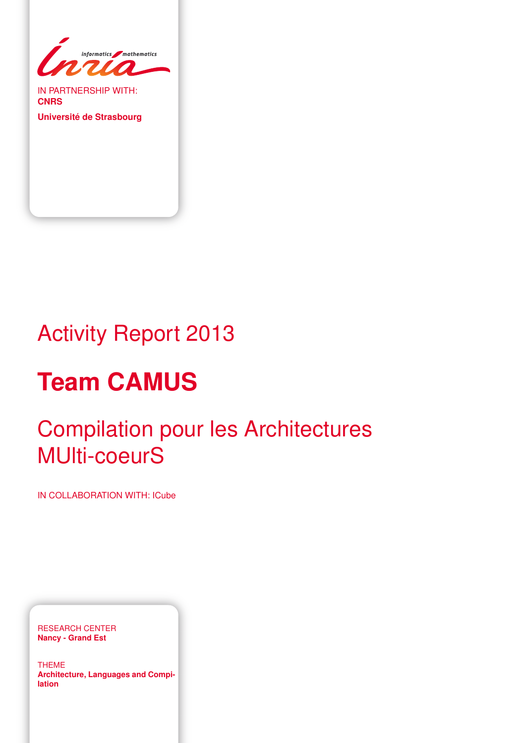

IN PARTNERSHIP WITH: **CNRS**

**Université de Strasbourg**

# Activity Report 2013

# **Team CAMUS**

# Compilation pour les Architectures MUlti-coeurS

IN COLLABORATION WITH: ICube

RESEARCH CENTER **Nancy - Grand Est**

THEME **Architecture, Languages and Compilation**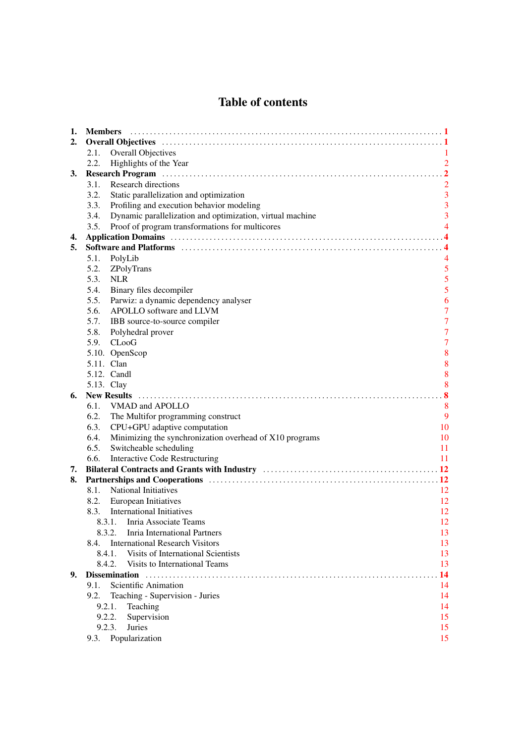# Table of contents

| 1. | <b>Members</b>                                                                                                                                                                                                                |                         |
|----|-------------------------------------------------------------------------------------------------------------------------------------------------------------------------------------------------------------------------------|-------------------------|
| 2. |                                                                                                                                                                                                                               |                         |
|    | Overall Objectives<br>2.1.                                                                                                                                                                                                    |                         |
|    | 2.2.<br>Highlights of the Year                                                                                                                                                                                                | $\overline{2}$          |
| 3. | Research Program (a) material contract to the contract of the contract of the contract of the contract of the contract of the contract of the contract of the contract of the contract of the contract of the contract of the |                         |
|    | <b>Research directions</b><br>3.1.                                                                                                                                                                                            | $\overline{2}$          |
|    | 3.2.<br>Static parallelization and optimization                                                                                                                                                                               | $\overline{3}$          |
|    | Profiling and execution behavior modeling<br>3.3.                                                                                                                                                                             | $\overline{\mathbf{3}}$ |
|    | Dynamic parallelization and optimization, virtual machine<br>3.4.                                                                                                                                                             | $\overline{3}$          |
|    | Proof of program transformations for multicores<br>3.5.                                                                                                                                                                       | $\overline{4}$          |
| 4. |                                                                                                                                                                                                                               |                         |
| 5. |                                                                                                                                                                                                                               |                         |
|    | 5.1.<br>PolyLib                                                                                                                                                                                                               |                         |
|    | 5.2.<br>ZPolyTrans                                                                                                                                                                                                            | 5                       |
|    | 5.3.<br><b>NLR</b>                                                                                                                                                                                                            | 5                       |
|    | 5.4.<br>Binary files decompiler                                                                                                                                                                                               | 5                       |
|    | 5.5.<br>Parwiz: a dynamic dependency analyser                                                                                                                                                                                 | 6                       |
|    | APOLLO software and LLVM<br>5.6.                                                                                                                                                                                              | $\overline{7}$          |
|    | 5.7.<br>IBB source-to-source compiler                                                                                                                                                                                         | $\overline{7}$          |
|    | 5.8.<br>Polyhedral prover                                                                                                                                                                                                     | $\overline{7}$          |
|    | CLooG<br>5.9.                                                                                                                                                                                                                 | $\overline{7}$          |
|    | 5.10. OpenScop                                                                                                                                                                                                                | 8                       |
|    | 5.11. Clan                                                                                                                                                                                                                    | 8                       |
|    | 5.12. Candl                                                                                                                                                                                                                   | 8                       |
|    | 5.13. Clay                                                                                                                                                                                                                    | 8                       |
| 6. |                                                                                                                                                                                                                               |                         |
|    | 6.1. VMAD and APOLLO                                                                                                                                                                                                          | 8                       |
|    | 6.2.<br>The Multifor programming construct                                                                                                                                                                                    | 9                       |
|    | 6.3.<br>CPU+GPU adaptive computation                                                                                                                                                                                          | 10                      |
|    | 6.4.<br>Minimizing the synchronization overhead of X10 programs                                                                                                                                                               | 10                      |
|    | 6.5.<br>Switcheable scheduling                                                                                                                                                                                                | 11                      |
|    | <b>Interactive Code Restructuring</b><br>6.6.                                                                                                                                                                                 | 11                      |
| 7. |                                                                                                                                                                                                                               |                         |
| 8. |                                                                                                                                                                                                                               |                         |
|    | 8.1.<br><b>National Initiatives</b>                                                                                                                                                                                           | 12                      |
|    | 8.2.<br>European Initiatives                                                                                                                                                                                                  | 12                      |
|    | <b>International Initiatives</b><br>8.3.                                                                                                                                                                                      | 12                      |
|    | 8.3.1. Inria Associate Teams                                                                                                                                                                                                  | 12                      |
|    | 8.3.2.<br>Inria International Partners                                                                                                                                                                                        | 13                      |
|    | <b>International Research Visitors</b><br>8.4.                                                                                                                                                                                | 13                      |
|    | 8.4.1.<br>Visits of International Scientists                                                                                                                                                                                  | 13                      |
|    | Visits to International Teams<br>8.4.2.                                                                                                                                                                                       | 13                      |
| 9. | <b>Dissemination</b>                                                                                                                                                                                                          | 14                      |
|    | 9.1.<br>Scientific Animation                                                                                                                                                                                                  | 14                      |
|    | 9.2.<br>Teaching - Supervision - Juries                                                                                                                                                                                       | 14                      |
|    | 9.2.1.<br>Teaching                                                                                                                                                                                                            | 14                      |
|    | 9.2.2.<br>Supervision                                                                                                                                                                                                         | 15                      |
|    | 9.2.3.<br>Juries                                                                                                                                                                                                              | 15                      |
|    | 9.3. Popularization                                                                                                                                                                                                           | 15                      |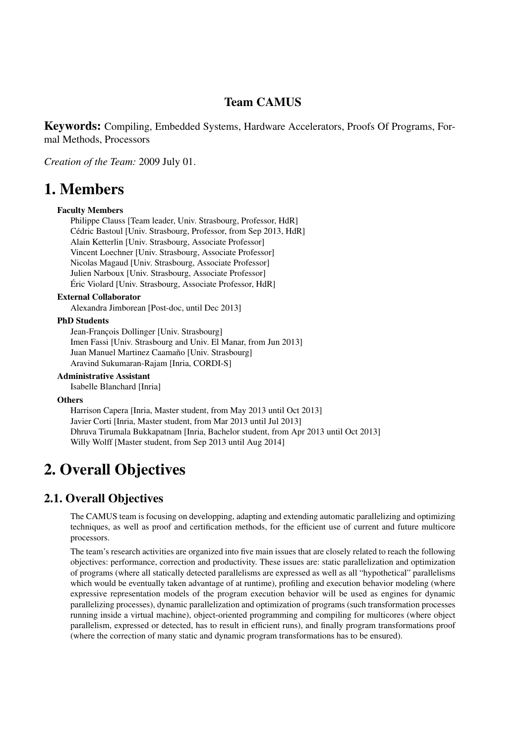# Team CAMUS

Keywords: Compiling, Embedded Systems, Hardware Accelerators, Proofs Of Programs, Formal Methods, Processors

*Creation of the Team:* 2009 July 01.

# <span id="page-4-0"></span>1. Members

#### Faculty Members

Philippe Clauss [Team leader, Univ. Strasbourg, Professor, HdR] Cédric Bastoul [Univ. Strasbourg, Professor, from Sep 2013, HdR] Alain Ketterlin [Univ. Strasbourg, Associate Professor] Vincent Loechner [Univ. Strasbourg, Associate Professor] Nicolas Magaud [Univ. Strasbourg, Associate Professor] Julien Narboux [Univ. Strasbourg, Associate Professor] Éric Violard [Univ. Strasbourg, Associate Professor, HdR]

#### External Collaborator

Alexandra Jimborean [Post-doc, until Dec 2013]

#### PhD Students

Jean-François Dollinger [Univ. Strasbourg] Imen Fassi [Univ. Strasbourg and Univ. El Manar, from Jun 2013] Juan Manuel Martinez Caamaño [Univ. Strasbourg] Aravind Sukumaran-Rajam [Inria, CORDI-S]

#### Administrative Assistant

Isabelle Blanchard [Inria]

#### **Others**

Harrison Capera [Inria, Master student, from May 2013 until Oct 2013] Javier Corti [Inria, Master student, from Mar 2013 until Jul 2013] Dhruva Tirumala Bukkapatnam [Inria, Bachelor student, from Apr 2013 until Oct 2013] Willy Wolff [Master student, from Sep 2013 until Aug 2014]

# <span id="page-4-1"></span>2. Overall Objectives

## 2.1. Overall Objectives

<span id="page-4-2"></span>The CAMUS team is focusing on developping, adapting and extending automatic parallelizing and optimizing techniques, as well as proof and certification methods, for the efficient use of current and future multicore processors.

The team's research activities are organized into five main issues that are closely related to reach the following objectives: performance, correction and productivity. These issues are: static parallelization and optimization of programs (where all statically detected parallelisms are expressed as well as all "hypothetical" parallelisms which would be eventually taken advantage of at runtime), profiling and execution behavior modeling (where expressive representation models of the program execution behavior will be used as engines for dynamic parallelizing processes), dynamic parallelization and optimization of programs (such transformation processes running inside a virtual machine), object-oriented programming and compiling for multicores (where object parallelism, expressed or detected, has to result in efficient runs), and finally program transformations proof (where the correction of many static and dynamic program transformations has to be ensured).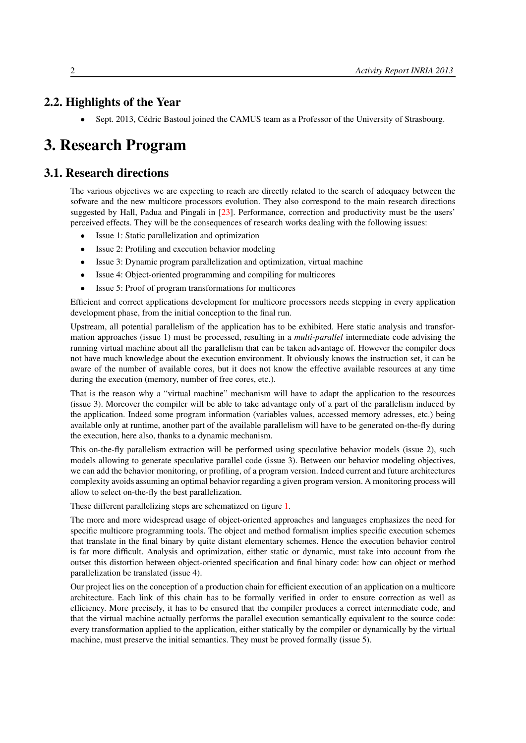# 2.2. Highlights of the Year

<span id="page-5-1"></span><span id="page-5-0"></span>• Sept. 2013, Cédric Bastoul joined the CAMUS team as a Professor of the University of Strasbourg.

# 3. Research Program

# 3.1. Research directions

<span id="page-5-2"></span>The various objectives we are expecting to reach are directly related to the search of adequacy between the sofware and the new multicore processors evolution. They also correspond to the main research directions suggested by Hall, Padua and Pingali in [\[23\]](#page-21-0). Performance, correction and productivity must be the users' perceived effects. They will be the consequences of research works dealing with the following issues:

- Issue 1: Static parallelization and optimization
- Issue 2: Profiling and execution behavior modeling
- Issue 3: Dynamic program parallelization and optimization, virtual machine
- Issue 4: Object-oriented programming and compiling for multicores
- Issue 5: Proof of program transformations for multicores

Efficient and correct applications development for multicore processors needs stepping in every application development phase, from the initial conception to the final run.

Upstream, all potential parallelism of the application has to be exhibited. Here static analysis and transformation approaches (issue 1) must be processed, resulting in a *multi-parallel* intermediate code advising the running virtual machine about all the parallelism that can be taken advantage of. However the compiler does not have much knowledge about the execution environment. It obviously knows the instruction set, it can be aware of the number of available cores, but it does not know the effective available resources at any time during the execution (memory, number of free cores, etc.).

That is the reason why a "virtual machine" mechanism will have to adapt the application to the resources (issue 3). Moreover the compiler will be able to take advantage only of a part of the parallelism induced by the application. Indeed some program information (variables values, accessed memory adresses, etc.) being available only at runtime, another part of the available parallelism will have to be generated on-the-fly during the execution, here also, thanks to a dynamic mechanism.

This on-the-fly parallelism extraction will be performed using speculative behavior models (issue 2), such models allowing to generate speculative parallel code (issue 3). Between our behavior modeling objectives, we can add the behavior monitoring, or profiling, of a program version. Indeed current and future architectures complexity avoids assuming an optimal behavior regarding a given program version. A monitoring process will allow to select on-the-fly the best parallelization.

These different parallelizing steps are schematized on figure [1.](#page-6-3)

The more and more widespread usage of object-oriented approaches and languages emphasizes the need for specific multicore programming tools. The object and method formalism implies specific execution schemes that translate in the final binary by quite distant elementary schemes. Hence the execution behavior control is far more difficult. Analysis and optimization, either static or dynamic, must take into account from the outset this distortion between object-oriented specification and final binary code: how can object or method parallelization be translated (issue 4).

Our project lies on the conception of a production chain for efficient execution of an application on a multicore architecture. Each link of this chain has to be formally verified in order to ensure correction as well as efficiency. More precisely, it has to be ensured that the compiler produces a correct intermediate code, and that the virtual machine actually performs the parallel execution semantically equivalent to the source code: every transformation applied to the application, either statically by the compiler or dynamically by the virtual machine, must preserve the initial semantics. They must be proved formally (issue 5).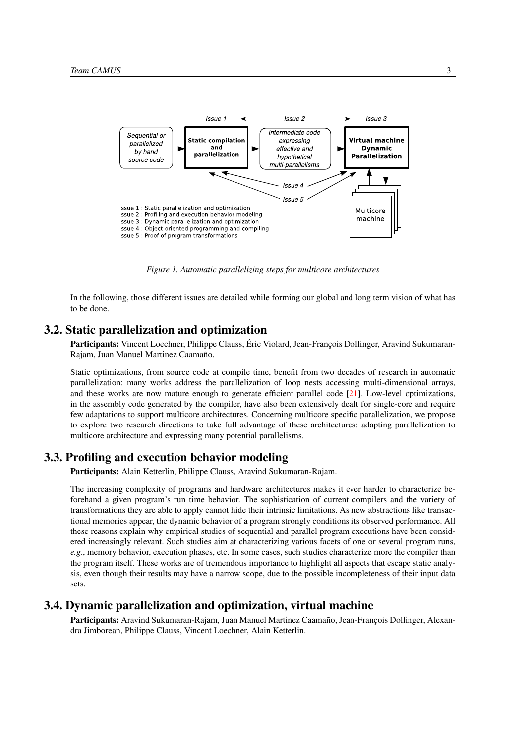<span id="page-6-3"></span>

*Figure 1. Automatic parallelizing steps for multicore architectures*

In the following, those different issues are detailed while forming our global and long term vision of what has to be done.

#### 3.2. Static parallelization and optimization

<span id="page-6-0"></span>Participants: Vincent Loechner, Philippe Clauss, Éric Violard, Jean-François Dollinger, Aravind Sukumaran-Rajam, Juan Manuel Martinez Caamaño.

Static optimizations, from source code at compile time, benefit from two decades of research in automatic parallelization: many works address the parallelization of loop nests accessing multi-dimensional arrays, and these works are now mature enough to generate efficient parallel code [\[21\]](#page-20-0). Low-level optimizations, in the assembly code generated by the compiler, have also been extensively dealt for single-core and require few adaptations to support multicore architectures. Concerning multicore specific parallelization, we propose to explore two research directions to take full advantage of these architectures: adapting parallelization to multicore architecture and expressing many potential parallelisms.

#### 3.3. Profiling and execution behavior modeling

<span id="page-6-1"></span>Participants: Alain Ketterlin, Philippe Clauss, Aravind Sukumaran-Rajam.

The increasing complexity of programs and hardware architectures makes it ever harder to characterize beforehand a given program's run time behavior. The sophistication of current compilers and the variety of transformations they are able to apply cannot hide their intrinsic limitations. As new abstractions like transactional memories appear, the dynamic behavior of a program strongly conditions its observed performance. All these reasons explain why empirical studies of sequential and parallel program executions have been considered increasingly relevant. Such studies aim at characterizing various facets of one or several program runs, *e.g.*, memory behavior, execution phases, etc. In some cases, such studies characterize more the compiler than the program itself. These works are of tremendous importance to highlight all aspects that escape static analysis, even though their results may have a narrow scope, due to the possible incompleteness of their input data sets.

#### 3.4. Dynamic parallelization and optimization, virtual machine

<span id="page-6-2"></span>Participants: Aravind Sukumaran-Rajam, Juan Manuel Martinez Caamaño, Jean-François Dollinger, Alexandra Jimborean, Philippe Clauss, Vincent Loechner, Alain Ketterlin.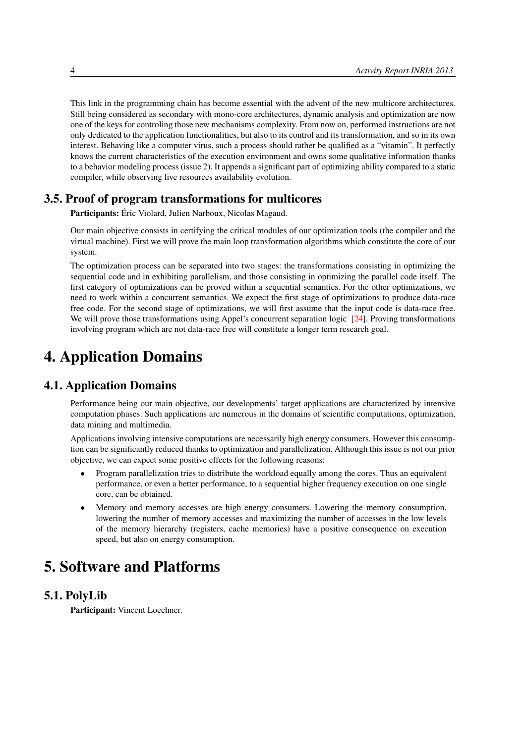This link in the programming chain has become essential with the advent of the new multicore architectures. Still being considered as secondary with mono-core architectures, dynamic analysis and optimization are now one of the keys for controling those new mechanisms complexity. From now on, performed instructions are not only dedicated to the application functionalities, but also to its control and its transformation, and so in its own interest. Behaving like a computer virus, such a process should rather be qualified as a "vitamin". It perfectly knows the current characteristics of the execution environment and owns some qualitative information thanks to a behavior modeling process (issue 2). It appends a significant part of optimizing ability compared to a static compiler, while observing live resources availability evolution.

## 3.5. Proof of program transformations for multicores

<span id="page-7-0"></span>Participants: Éric Violard, Julien Narboux, Nicolas Magaud.

Our main objective consists in certifying the critical modules of our optimization tools (the compiler and the virtual machine). First we will prove the main loop transformation algorithms which constitute the core of our system.

The optimization process can be separated into two stages: the transformations consisting in optimizing the sequential code and in exhibiting parallelism, and those consisting in optimizing the parallel code itself. The first category of optimizations can be proved within a sequential semantics. For the other optimizations, we need to work within a concurrent semantics. We expect the first stage of optimizations to produce data-race free code. For the second stage of optimizations, we will first assume that the input code is data-race free. We will prove those transformations using Appel's concurrent separation logic [\[24\]](#page-21-1). Proving transformations involving program which are not data-race free will constitute a longer term research goal.

# <span id="page-7-1"></span>4. Application Domains

# 4.1. Application Domains

Performance being our main objective, our developments' target applications are characterized by intensive computation phases. Such applications are numerous in the domains of scientific computations, optimization, data mining and multimedia.

Applications involving intensive computations are necessarily high energy consumers. However this consumption can be significantly reduced thanks to optimization and parallelization. Although this issue is not our prior objective, we can expect some positive effects for the following reasons:

- Program parallelization tries to distribute the workload equally among the cores. Thus an equivalent performance, or even a better performance, to a sequential higher frequency execution on one single core, can be obtained.
- Memory and memory accesses are high energy consumers. Lowering the memory consumption, lowering the number of memory accesses and maximizing the number of accesses in the low levels of the memory hierarchy (registers, cache memories) have a positive consequence on execution speed, but also on energy consumption.

# <span id="page-7-2"></span>5. Software and Platforms

## 5.1. PolyLib

<span id="page-7-3"></span>Participant: Vincent Loechner.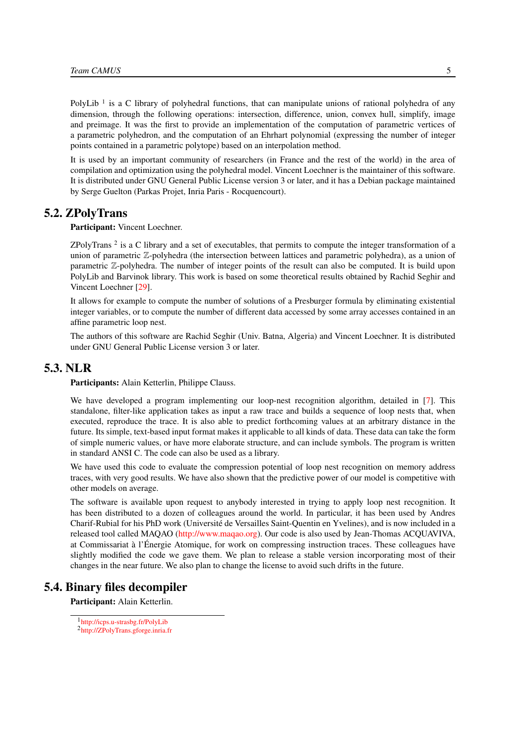PolyLib<sup>1</sup> is a C library of polyhedral functions, that can manipulate unions of rational polyhedra of any dimension, through the following operations: intersection, difference, union, convex hull, simplify, image and preimage. It was the first to provide an implementation of the computation of parametric vertices of a parametric polyhedron, and the computation of an Ehrhart polynomial (expressing the number of integer points contained in a parametric polytope) based on an interpolation method.

It is used by an important community of researchers (in France and the rest of the world) in the area of compilation and optimization using the polyhedral model. Vincent Loechner is the maintainer of this software. It is distributed under GNU General Public License version 3 or later, and it has a Debian package maintained by Serge Guelton (Parkas Projet, Inria Paris - Rocquencourt).

## 5.2. ZPolyTrans

<span id="page-8-0"></span>Participant: Vincent Loechner.

ZPolyTrans<sup>2</sup> is a C library and a set of executables, that permits to compute the integer transformation of a union of parametric Z-polyhedra (the intersection between lattices and parametric polyhedra), as a union of parametric Z-polyhedra. The number of integer points of the result can also be computed. It is build upon PolyLib and Barvinok library. This work is based on some theoretical results obtained by Rachid Seghir and Vincent Loechner [\[29\]](#page-21-2).

It allows for example to compute the number of solutions of a Presburger formula by eliminating existential integer variables, or to compute the number of different data accessed by some array accesses contained in an affine parametric loop nest.

The authors of this software are Rachid Seghir (Univ. Batna, Algeria) and Vincent Loechner. It is distributed under GNU General Public License version 3 or later.

## 5.3. NLR

<span id="page-8-1"></span>Participants: Alain Ketterlin, Philippe Clauss.

We have developed a program implementing our loop-nest recognition algorithm, detailed in [\[7\]](#page-19-1). This standalone, filter-like application takes as input a raw trace and builds a sequence of loop nests that, when executed, reproduce the trace. It is also able to predict forthcoming values at an arbitrary distance in the future. Its simple, text-based input format makes it applicable to all kinds of data. These data can take the form of simple numeric values, or have more elaborate structure, and can include symbols. The program is written in standard ANSI C. The code can also be used as a library.

We have used this code to evaluate the compression potential of loop nest recognition on memory address traces, with very good results. We have also shown that the predictive power of our model is competitive with other models on average.

The software is available upon request to anybody interested in trying to apply loop nest recognition. It has been distributed to a dozen of colleagues around the world. In particular, it has been used by Andres Charif-Rubial for his PhD work (Université de Versailles Saint-Quentin en Yvelines), and is now included in a released tool called MAQAO [\(http://www.maqao.org\)](http://www.maqao.org). Our code is also used by Jean-Thomas ACQUAVIVA, at Commissariat à l'Énergie Atomique, for work on compressing instruction traces. These colleagues have slightly modified the code we gave them. We plan to release a stable version incorporating most of their changes in the near future. We also plan to change the license to avoid such drifts in the future.

# 5.4. Binary files decompiler

<span id="page-8-2"></span>Participant: Alain Ketterlin.

<sup>1</sup> <http://icps.u-strasbg.fr/PolyLib>

<sup>2</sup> <http://ZPolyTrans.gforge.inria.fr>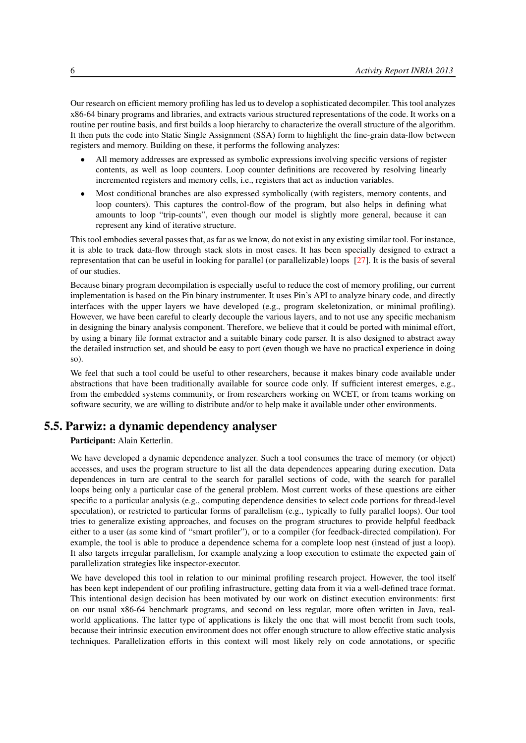Our research on efficient memory profiling has led us to develop a sophisticated decompiler. This tool analyzes x86-64 binary programs and libraries, and extracts various structured representations of the code. It works on a routine per routine basis, and first builds a loop hierarchy to characterize the overall structure of the algorithm. It then puts the code into Static Single Assignment (SSA) form to highlight the fine-grain data-flow between registers and memory. Building on these, it performs the following analyzes:

- All memory addresses are expressed as symbolic expressions involving specific versions of register contents, as well as loop counters. Loop counter definitions are recovered by resolving linearly incremented registers and memory cells, i.e., registers that act as induction variables.
- Most conditional branches are also expressed symbolically (with registers, memory contents, and loop counters). This captures the control-flow of the program, but also helps in defining what amounts to loop "trip-counts", even though our model is slightly more general, because it can represent any kind of iterative structure.

This tool embodies several passes that, as far as we know, do not exist in any existing similar tool. For instance, it is able to track data-flow through stack slots in most cases. It has been specially designed to extract a representation that can be useful in looking for parallel (or parallelizable) loops [\[27\]](#page-21-3). It is the basis of several of our studies.

Because binary program decompilation is especially useful to reduce the cost of memory profiling, our current implementation is based on the Pin binary instrumenter. It uses Pin's API to analyze binary code, and directly interfaces with the upper layers we have developed (e.g., program skeletonization, or minimal profiling). However, we have been careful to clearly decouple the various layers, and to not use any specific mechanism in designing the binary analysis component. Therefore, we believe that it could be ported with minimal effort, by using a binary file format extractor and a suitable binary code parser. It is also designed to abstract away the detailed instruction set, and should be easy to port (even though we have no practical experience in doing so).

We feel that such a tool could be useful to other researchers, because it makes binary code available under abstractions that have been traditionally available for source code only. If sufficient interest emerges, e.g., from the embedded systems community, or from researchers working on WCET, or from teams working on software security, we are willing to distribute and/or to help make it available under other environments.

# 5.5. Parwiz: a dynamic dependency analyser

#### <span id="page-9-0"></span>Participant: Alain Ketterlin.

We have developed a dynamic dependence analyzer. Such a tool consumes the trace of memory (or object) accesses, and uses the program structure to list all the data dependences appearing during execution. Data dependences in turn are central to the search for parallel sections of code, with the search for parallel loops being only a particular case of the general problem. Most current works of these questions are either specific to a particular analysis (e.g., computing dependence densities to select code portions for thread-level speculation), or restricted to particular forms of parallelism (e.g., typically to fully parallel loops). Our tool tries to generalize existing approaches, and focuses on the program structures to provide helpful feedback either to a user (as some kind of "smart profiler"), or to a compiler (for feedback-directed compilation). For example, the tool is able to produce a dependence schema for a complete loop nest (instead of just a loop). It also targets irregular parallelism, for example analyzing a loop execution to estimate the expected gain of parallelization strategies like inspector-executor.

We have developed this tool in relation to our minimal profiling research project. However, the tool itself has been kept independent of our profiling infrastructure, getting data from it via a well-defined trace format. This intentional design decision has been motivated by our work on distinct execution environments: first on our usual x86-64 benchmark programs, and second on less regular, more often written in Java, realworld applications. The latter type of applications is likely the one that will most benefit from such tools, because their intrinsic execution environment does not offer enough structure to allow effective static analysis techniques. Parallelization efforts in this context will most likely rely on code annotations, or specific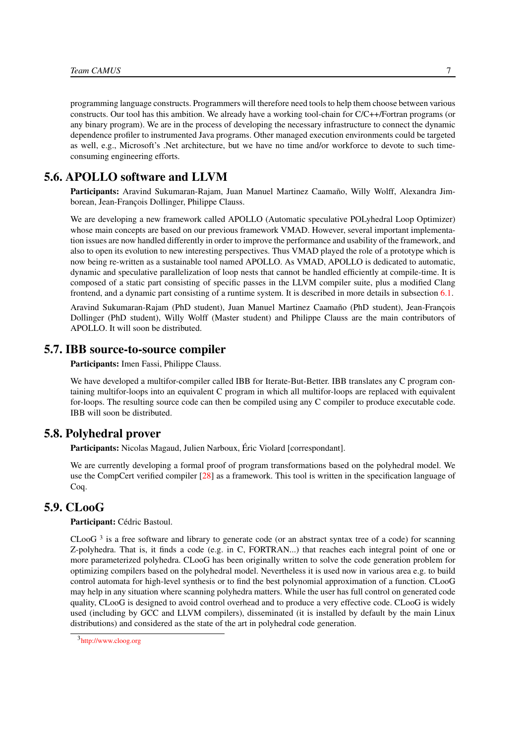programming language constructs. Programmers will therefore need tools to help them choose between various constructs. Our tool has this ambition. We already have a working tool-chain for C/C++/Fortran programs (or any binary program). We are in the process of developing the necessary infrastructure to connect the dynamic dependence profiler to instrumented Java programs. Other managed execution environments could be targeted as well, e.g., Microsoft's .Net architecture, but we have no time and/or workforce to devote to such timeconsuming engineering efforts.

## 5.6. APOLLO software and LLVM

<span id="page-10-0"></span>Participants: Aravind Sukumaran-Rajam, Juan Manuel Martinez Caamaño, Willy Wolff, Alexandra Jimborean, Jean-François Dollinger, Philippe Clauss.

We are developing a new framework called APOLLO (Automatic speculative POLyhedral Loop Optimizer) whose main concepts are based on our previous framework VMAD. However, several important implementation issues are now handled differently in order to improve the performance and usability of the framework, and also to open its evolution to new interesting perspectives. Thus VMAD played the role of a prototype which is now being re-written as a sustainable tool named APOLLO. As VMAD, APOLLO is dedicated to automatic, dynamic and speculative parallelization of loop nests that cannot be handled efficiently at compile-time. It is composed of a static part consisting of specific passes in the LLVM compiler suite, plus a modified Clang frontend, and a dynamic part consisting of a runtime system. It is described in more details in subsection [6.1.](#page-11-5)

Aravind Sukumaran-Rajam (PhD student), Juan Manuel Martinez Caamaño (PhD student), Jean-François Dollinger (PhD student), Willy Wolff (Master student) and Philippe Clauss are the main contributors of APOLLO. It will soon be distributed.

#### 5.7. IBB source-to-source compiler

<span id="page-10-1"></span>Participants: Imen Fassi, Philippe Clauss.

We have developed a multifor-compiler called IBB for Iterate-But-Better. IBB translates any C program containing multifor-loops into an equivalent C program in which all multifor-loops are replaced with equivalent for-loops. The resulting source code can then be compiled using any C compiler to produce executable code. IBB will soon be distributed.

### 5.8. Polyhedral prover

<span id="page-10-2"></span>Participants: Nicolas Magaud, Julien Narboux, Éric Violard [correspondant].

We are currently developing a formal proof of program transformations based on the polyhedral model. We use the CompCert verified compiler [\[28\]](#page-21-4) as a framework. This tool is written in the specification language of Coq.

## 5.9. CLooG

<span id="page-10-3"></span>Participant: Cédric Bastoul.

 $C$ LooG<sup>3</sup> is a free software and library to generate code (or an abstract syntax tree of a code) for scanning Z-polyhedra. That is, it finds a code (e.g. in C, FORTRAN...) that reaches each integral point of one or more parameterized polyhedra. CLooG has been originally written to solve the code generation problem for optimizing compilers based on the polyhedral model. Nevertheless it is used now in various area e.g. to build control automata for high-level synthesis or to find the best polynomial approximation of a function. CLooG may help in any situation where scanning polyhedra matters. While the user has full control on generated code quality, CLooG is designed to avoid control overhead and to produce a very effective code. CLooG is widely used (including by GCC and LLVM compilers), disseminated (it is installed by default by the main Linux distributions) and considered as the state of the art in polyhedral code generation.

<sup>3</sup> <http://www.cloog.org>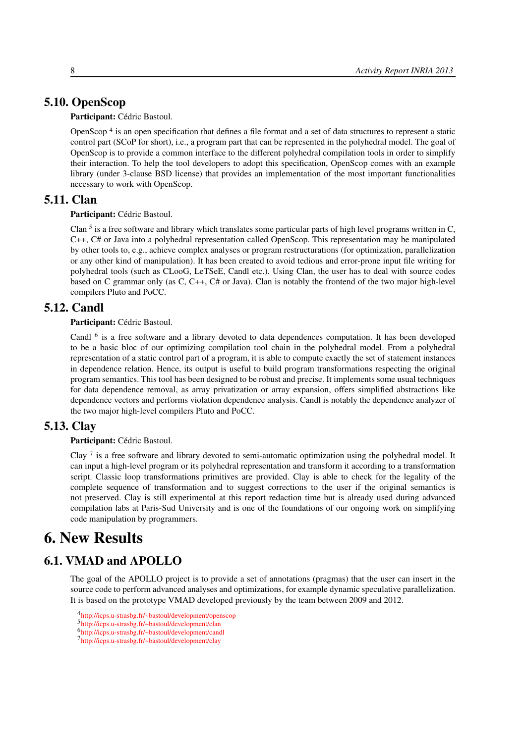# 5.10. OpenScop

<span id="page-11-0"></span>Participant: Cédric Bastoul.

OpenScop<sup>4</sup> is an open specification that defines a file format and a set of data structures to represent a static control part (SCoP for short), i.e., a program part that can be represented in the polyhedral model. The goal of OpenScop is to provide a common interface to the different polyhedral compilation tools in order to simplify their interaction. To help the tool developers to adopt this specification, OpenScop comes with an example library (under 3-clause BSD license) that provides an implementation of the most important functionalities necessary to work with OpenScop.

# 5.11. Clan

<span id="page-11-1"></span>Participant: Cédric Bastoul.

Clan  $<sup>5</sup>$  is a free software and library which translates some particular parts of high level programs written in C,</sup> C++, C# or Java into a polyhedral representation called OpenScop. This representation may be manipulated by other tools to, e.g., achieve complex analyses or program restructurations (for optimization, parallelization or any other kind of manipulation). It has been created to avoid tedious and error-prone input file writing for polyhedral tools (such as CLooG, LeTSeE, Candl etc.). Using Clan, the user has to deal with source codes based on C grammar only (as C, C++, C# or Java). Clan is notably the frontend of the two major high-level compilers Pluto and PoCC.

# 5.12. Candl

#### <span id="page-11-2"></span>Participant: Cédric Bastoul.

Candl <sup>6</sup> is a free software and a library devoted to data dependences computation. It has been developed to be a basic bloc of our optimizing compilation tool chain in the polyhedral model. From a polyhedral representation of a static control part of a program, it is able to compute exactly the set of statement instances in dependence relation. Hence, its output is useful to build program transformations respecting the original program semantics. This tool has been designed to be robust and precise. It implements some usual techniques for data dependence removal, as array privatization or array expansion, offers simplified abstractions like dependence vectors and performs violation dependence analysis. Candl is notably the dependence analyzer of the two major high-level compilers Pluto and PoCC.

#### 5.13. Clay

#### <span id="page-11-3"></span>Participant: Cédric Bastoul.

Clay <sup>7</sup> is a free software and library devoted to semi-automatic optimization using the polyhedral model. It can input a high-level program or its polyhedral representation and transform it according to a transformation script. Classic loop transformations primitives are provided. Clay is able to check for the legality of the complete sequence of transformation and to suggest corrections to the user if the original semantics is not preserved. Clay is still experimental at this report redaction time but is already used during advanced compilation labs at Paris-Sud University and is one of the foundations of our ongoing work on simplifying code manipulation by programmers.

# <span id="page-11-4"></span>6. New Results

# 6.1. VMAD and APOLLO

<span id="page-11-5"></span>The goal of the APOLLO project is to provide a set of annotations (pragmas) that the user can insert in the source code to perform advanced analyses and optimizations, for example dynamic speculative parallelization. It is based on the prototype VMAD developed previously by the team between 2009 and 2012.

<sup>4</sup> <http://icps.u-strasbg.fr/~bastoul/development/openscop>

<sup>5</sup> <http://icps.u-strasbg.fr/~bastoul/development/clan>

<sup>6</sup> <http://icps.u-strasbg.fr/~bastoul/development/candl>

<sup>7</sup> <http://icps.u-strasbg.fr/~bastoul/development/clay>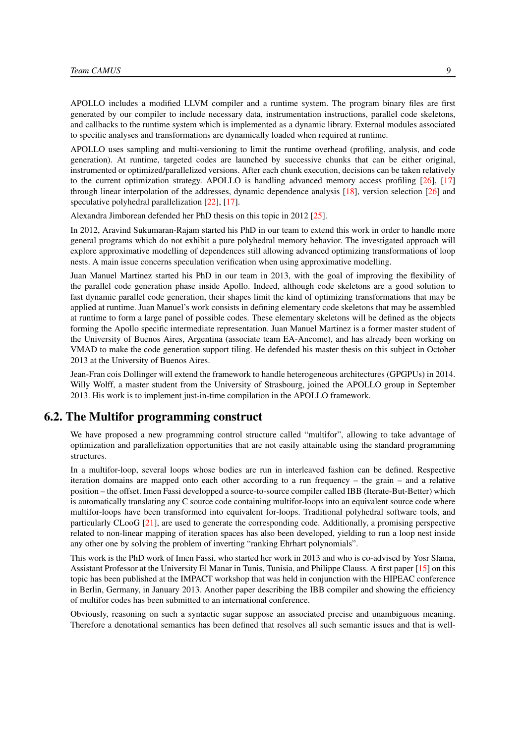APOLLO includes a modified LLVM compiler and a runtime system. The program binary files are first generated by our compiler to include necessary data, instrumentation instructions, parallel code skeletons, and callbacks to the runtime system which is implemented as a dynamic library. External modules associated to specific analyses and transformations are dynamically loaded when required at runtime.

APOLLO uses sampling and multi-versioning to limit the runtime overhead (profiling, analysis, and code generation). At runtime, targeted codes are launched by successive chunks that can be either original, instrumented or optimized/parallelized versions. After each chunk execution, decisions can be taken relatively to the current optimization strategy. APOLLO is handling advanced memory access profiling [\[26\]](#page-21-5), [\[17\]](#page-20-1) through linear interpolation of the addresses, dynamic dependence analysis [\[18\]](#page-20-2), version selection [\[26\]](#page-21-5) and speculative polyhedral parallelization [\[22\]](#page-20-3), [\[17\]](#page-20-1).

Alexandra Jimborean defended her PhD thesis on this topic in 2012 [\[25\]](#page-21-6).

In 2012, Aravind Sukumaran-Rajam started his PhD in our team to extend this work in order to handle more general programs which do not exhibit a pure polyhedral memory behavior. The investigated approach will explore approximative modelling of dependences still allowing advanced optimizing transformations of loop nests. A main issue concerns speculation verification when using approximative modelling.

Juan Manuel Martinez started his PhD in our team in 2013, with the goal of improving the flexibility of the parallel code generation phase inside Apollo. Indeed, although code skeletons are a good solution to fast dynamic parallel code generation, their shapes limit the kind of optimizing transformations that may be applied at runtime. Juan Manuel's work consists in defining elementary code skeletons that may be assembled at runtime to form a large panel of possible codes. These elementary skeletons will be defined as the objects forming the Apollo specific intermediate representation. Juan Manuel Martinez is a former master student of the University of Buenos Aires, Argentina (associate team EA-Ancome), and has already been working on VMAD to make the code generation support tiling. He defended his master thesis on this subject in October 2013 at the University of Buenos Aires.

Jean-Fran cois Dollinger will extend the framework to handle heterogeneous architectures (GPGPUs) in 2014. Willy Wolff, a master student from the University of Strasbourg, joined the APOLLO group in September 2013. His work is to implement just-in-time compilation in the APOLLO framework.

#### 6.2. The Multifor programming construct

<span id="page-12-0"></span>We have proposed a new programming control structure called "multifor", allowing to take advantage of optimization and parallelization opportunities that are not easily attainable using the standard programming structures.

In a multifor-loop, several loops whose bodies are run in interleaved fashion can be defined. Respective iteration domains are mapped onto each other according to a run frequency – the grain – and a relative position – the offset. Imen Fassi developped a source-to-source compiler called IBB (Iterate-But-Better) which is automatically translating any C source code containing multifor-loops into an equivalent source code where multifor-loops have been transformed into equivalent for-loops. Traditional polyhedral software tools, and particularly CLooG [\[21\]](#page-20-0), are used to generate the corresponding code. Additionally, a promising perspective related to non-linear mapping of iteration spaces has also been developed, yielding to run a loop nest inside any other one by solving the problem of inverting "ranking Ehrhart polynomials".

This work is the PhD work of Imen Fassi, who started her work in 2013 and who is co-advised by Yosr Slama, Assistant Professor at the University El Manar in Tunis, Tunisia, and Philippe Clauss. A first paper [\[15\]](#page-20-4) on this topic has been published at the IMPACT workshop that was held in conjunction with the HIPEAC conference in Berlin, Germany, in January 2013. Another paper describing the IBB compiler and showing the efficiency of multifor codes has been submitted to an international conference.

Obviously, reasoning on such a syntactic sugar suppose an associated precise and unambiguous meaning. Therefore a denotational semantics has been defined that resolves all such semantic issues and that is well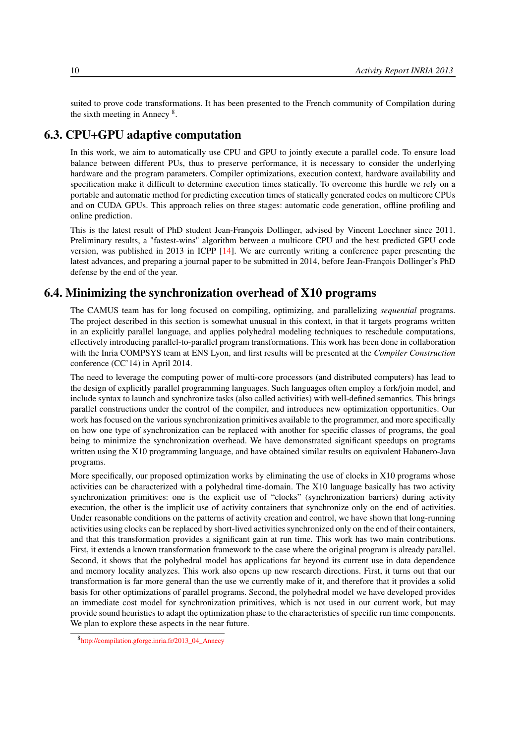suited to prove code transformations. It has been presented to the French community of Compilation during the sixth meeting in Annecy <sup>8</sup> .

## 6.3. CPU+GPU adaptive computation

<span id="page-13-0"></span>In this work, we aim to automatically use CPU and GPU to jointly execute a parallel code. To ensure load balance between different PUs, thus to preserve performance, it is necessary to consider the underlying hardware and the program parameters. Compiler optimizations, execution context, hardware availability and specification make it difficult to determine execution times statically. To overcome this hurdle we rely on a portable and automatic method for predicting execution times of statically generated codes on multicore CPUs and on CUDA GPUs. This approach relies on three stages: automatic code generation, offline profiling and online prediction.

This is the latest result of PhD student Jean-François Dollinger, advised by Vincent Loechner since 2011. Preliminary results, a "fastest-wins" algorithm between a multicore CPU and the best predicted GPU code version, was published in 2013 in ICPP [\[14\]](#page-20-5). We are currently writing a conference paper presenting the latest advances, and preparing a journal paper to be submitted in 2014, before Jean-François Dollinger's PhD defense by the end of the year.

## 6.4. Minimizing the synchronization overhead of X10 programs

<span id="page-13-1"></span>The CAMUS team has for long focused on compiling, optimizing, and parallelizing *sequential* programs. The project described in this section is somewhat unusual in this context, in that it targets programs written in an explicitly parallel language, and applies polyhedral modeling techniques to reschedule computations, effectively introducing parallel-to-parallel program transformations. This work has been done in collaboration with the Inria COMPSYS team at ENS Lyon, and first results will be presented at the *Compiler Construction* conference (CC'14) in April 2014.

The need to leverage the computing power of multi-core processors (and distributed computers) has lead to the design of explicitly parallel programming languages. Such languages often employ a fork/join model, and include syntax to launch and synchronize tasks (also called activities) with well-defined semantics. This brings parallel constructions under the control of the compiler, and introduces new optimization opportunities. Our work has focused on the various synchronization primitives available to the programmer, and more specifically on how one type of synchronization can be replaced with another for specific classes of programs, the goal being to minimize the synchronization overhead. We have demonstrated significant speedups on programs written using the X10 programming language, and have obtained similar results on equivalent Habanero-Java programs.

More specifically, our proposed optimization works by eliminating the use of clocks in X10 programs whose activities can be characterized with a polyhedral time-domain. The X10 language basically has two activity synchronization primitives: one is the explicit use of "clocks" (synchronization barriers) during activity execution, the other is the implicit use of activity containers that synchronize only on the end of activities. Under reasonable conditions on the patterns of activity creation and control, we have shown that long-running activities using clocks can be replaced by short-lived activities synchronized only on the end of their containers, and that this transformation provides a significant gain at run time. This work has two main contributions. First, it extends a known transformation framework to the case where the original program is already parallel. Second, it shows that the polyhedral model has applications far beyond its current use in data dependence and memory locality analyzes. This work also opens up new research directions. First, it turns out that our transformation is far more general than the use we currently make of it, and therefore that it provides a solid basis for other optimizations of parallel programs. Second, the polyhedral model we have developed provides an immediate cost model for synchronization primitives, which is not used in our current work, but may provide sound heuristics to adapt the optimization phase to the characteristics of specific run time components. We plan to explore these aspects in the near future.

<sup>8</sup> [http://compilation.gforge.inria.fr/2013\\_04\\_Annecy](http://compilation.gforge.inria.fr/2013_04_Annecy)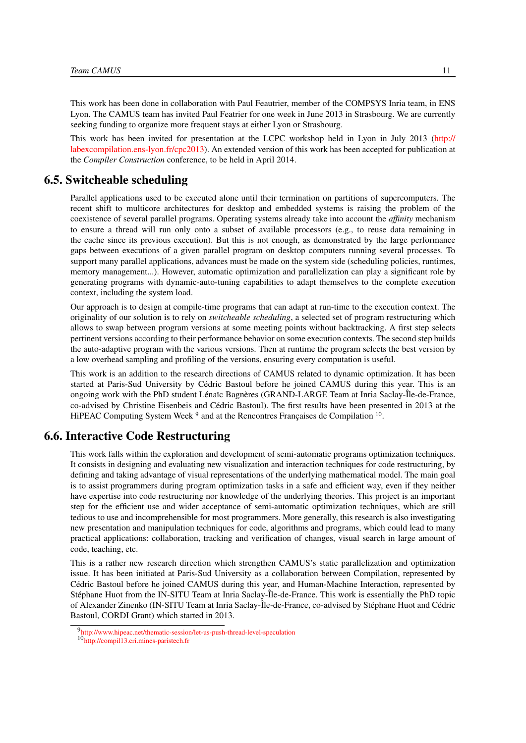This work has been done in collaboration with Paul Feautrier, member of the COMPSYS Inria team, in ENS Lyon. The CAMUS team has invited Paul Featrier for one week in June 2013 in Strasbourg. We are currently seeking funding to organize more frequent stays at either Lyon or Strasbourg.

This work has been invited for presentation at the LCPC workshop held in Lyon in July 2013 [\(http://](http://labexcompilation.ens-lyon.fr/cpc2013) [labexcompilation.ens-lyon.fr/cpc2013\)](http://labexcompilation.ens-lyon.fr/cpc2013). An extended version of this work has been accepted for publication at the *Compiler Construction* conference, to be held in April 2014.

#### 6.5. Switcheable scheduling

<span id="page-14-0"></span>Parallel applications used to be executed alone until their termination on partitions of supercomputers. The recent shift to multicore architectures for desktop and embedded systems is raising the problem of the coexistence of several parallel programs. Operating systems already take into account the *affinity* mechanism to ensure a thread will run only onto a subset of available processors (e.g., to reuse data remaining in the cache since its previous execution). But this is not enough, as demonstrated by the large performance gaps between executions of a given parallel program on desktop computers running several processes. To support many parallel applications, advances must be made on the system side (scheduling policies, runtimes, memory management...). However, automatic optimization and parallelization can play a significant role by generating programs with dynamic-auto-tuning capabilities to adapt themselves to the complete execution context, including the system load.

Our approach is to design at compile-time programs that can adapt at run-time to the execution context. The originality of our solution is to rely on *switcheable scheduling*, a selected set of program restructuring which allows to swap between program versions at some meeting points without backtracking. A first step selects pertinent versions according to their performance behavior on some execution contexts. The second step builds the auto-adaptive program with the various versions. Then at runtime the program selects the best version by a low overhead sampling and profiling of the versions, ensuring every computation is useful.

This work is an addition to the research directions of CAMUS related to dynamic optimization. It has been started at Paris-Sud University by Cédric Bastoul before he joined CAMUS during this year. This is an ongoing work with the PhD student Lénaïc Bagnères (GRAND-LARGE Team at Inria Saclay-Île-de-France, co-advised by Christine Eisenbeis and Cédric Bastoul). The first results have been presented in 2013 at the HiPEAC Computing System Week<sup>9</sup> and at the Rencontres Françaises de Compilation <sup>10</sup>.

#### 6.6. Interactive Code Restructuring

<span id="page-14-1"></span>This work falls within the exploration and development of semi-automatic programs optimization techniques. It consists in designing and evaluating new visualization and interaction techniques for code restructuring, by defining and taking advantage of visual representations of the underlying mathematical model. The main goal is to assist programmers during program optimization tasks in a safe and efficient way, even if they neither have expertise into code restructuring nor knowledge of the underlying theories. This project is an important step for the efficient use and wider acceptance of semi-automatic optimization techniques, which are still tedious to use and incomprehensible for most programmers. More generally, this research is also investigating new presentation and manipulation techniques for code, algorithms and programs, which could lead to many practical applications: collaboration, tracking and verification of changes, visual search in large amount of code, teaching, etc.

This is a rather new research direction which strengthen CAMUS's static parallelization and optimization issue. It has been initiated at Paris-Sud University as a collaboration between Compilation, represented by Cédric Bastoul before he joined CAMUS during this year, and Human-Machine Interaction, represented by Stéphane Huot from the IN-SITU Team at Inria Saclay-Île-de-France. This work is essentially the PhD topic of Alexander Zinenko (IN-SITU Team at Inria Saclay-Île-de-France, co-advised by Stéphane Huot and Cédric Bastoul, CORDI Grant) which started in 2013.

<sup>9</sup> <http://www.hipeac.net/thematic-session/let-us-push-thread-level-speculation>

<sup>10</sup><http://compil13.cri.mines-paristech.fr>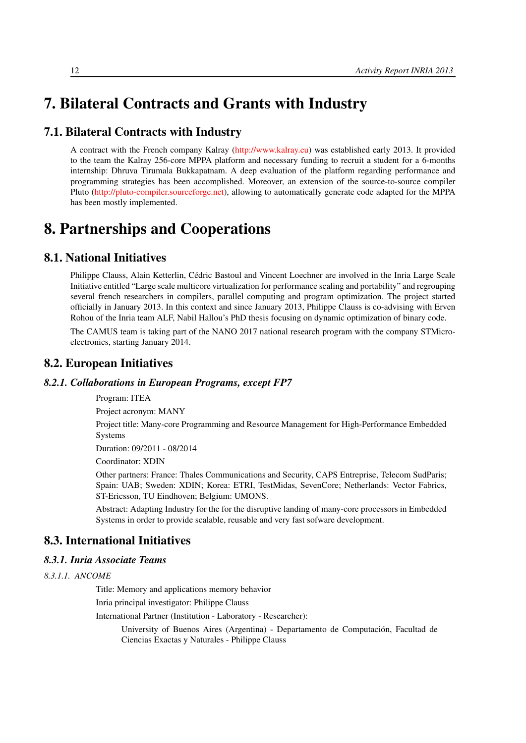# <span id="page-15-0"></span>7. Bilateral Contracts and Grants with Industry

# 7.1. Bilateral Contracts with Industry

A contract with the French company Kalray [\(http://www.kalray.eu\)](http://www.kalray.eu) was established early 2013. It provided to the team the Kalray 256-core MPPA platform and necessary funding to recruit a student for a 6-months internship: Dhruva Tirumala Bukkapatnam. A deep evaluation of the platform regarding performance and programming strategies has been accomplished. Moreover, an extension of the source-to-source compiler Pluto [\(http://pluto-compiler.sourceforge.net\)](http://pluto-compiler.sourceforge.net), allowing to automatically generate code adapted for the MPPA has been mostly implemented.

# <span id="page-15-1"></span>8. Partnerships and Cooperations

## 8.1. National Initiatives

<span id="page-15-2"></span>Philippe Clauss, Alain Ketterlin, Cédric Bastoul and Vincent Loechner are involved in the Inria Large Scale Initiative entitled "Large scale multicore virtualization for performance scaling and portability" and regrouping several french researchers in compilers, parallel computing and program optimization. The project started officially in January 2013. In this context and since January 2013, Philippe Clauss is co-advising with Erven Rohou of the Inria team ALF, Nabil Hallou's PhD thesis focusing on dynamic optimization of binary code.

The CAMUS team is taking part of the NANO 2017 national research program with the company STMicroelectronics, starting January 2014.

# <span id="page-15-3"></span>8.2. European Initiatives

#### *8.2.1. Collaborations in European Programs, except FP7*

#### Program: ITEA

Project acronym: MANY

Project title: Many-core Programming and Resource Management for High-Performance Embedded Systems

Duration: 09/2011 - 08/2014

Coordinator: XDIN

Other partners: France: Thales Communications and Security, CAPS Entreprise, Telecom SudParis; Spain: UAB; Sweden: XDIN; Korea: ETRI, TestMidas, SevenCore; Netherlands: Vector Fabrics, ST-Ericsson, TU Eindhoven; Belgium: UMONS.

Abstract: Adapting Industry for the for the disruptive landing of many-core processors in Embedded Systems in order to provide scalable, reusable and very fast sofware development.

# <span id="page-15-4"></span>8.3. International Initiatives

#### <span id="page-15-5"></span>*8.3.1. Inria Associate Teams*

*8.3.1.1. ANCOME*

Title: Memory and applications memory behavior

Inria principal investigator: Philippe Clauss

International Partner (Institution - Laboratory - Researcher):

University of Buenos Aires (Argentina) - Departamento de Computación, Facultad de Ciencias Exactas y Naturales - Philippe Clauss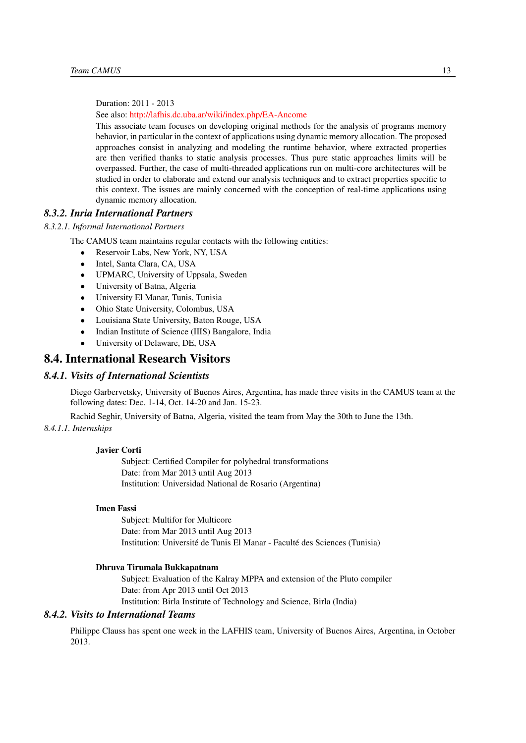Duration: 2011 - 2013

See also: <http://lafhis.dc.uba.ar/wiki/index.php/EA-Ancome>

This associate team focuses on developing original methods for the analysis of programs memory behavior, in particular in the context of applications using dynamic memory allocation. The proposed approaches consist in analyzing and modeling the runtime behavior, where extracted properties are then verified thanks to static analysis processes. Thus pure static approaches limits will be overpassed. Further, the case of multi-threaded applications run on multi-core architectures will be studied in order to elaborate and extend our analysis techniques and to extract properties specific to this context. The issues are mainly concerned with the conception of real-time applications using dynamic memory allocation.

#### <span id="page-16-0"></span>*8.3.2. Inria International Partners*

#### *8.3.2.1. Informal International Partners*

The CAMUS team maintains regular contacts with the following entities:

- Reservoir Labs, New York, NY, USA
- Intel, Santa Clara, CA, USA
- UPMARC, University of Uppsala, Sweden
- University of Batna, Algeria
- University El Manar, Tunis, Tunisia
- Ohio State University, Colombus, USA
- Louisiana State University, Baton Rouge, USA
- Indian Institute of Science (IIIS) Bangalore, India
- <span id="page-16-1"></span>• University of Delaware, DE, USA

#### 8.4. International Research Visitors

#### *8.4.1. Visits of International Scientists*

<span id="page-16-2"></span>Diego Garbervetsky, University of Buenos Aires, Argentina, has made three visits in the CAMUS team at the following dates: Dec. 1-14, Oct. 14-20 and Jan. 15-23.

Rachid Seghir, University of Batna, Algeria, visited the team from May the 30th to June the 13th.

#### *8.4.1.1. Internships*

#### Javier Corti

Subject: Certified Compiler for polyhedral transformations Date: from Mar 2013 until Aug 2013 Institution: Universidad National de Rosario (Argentina)

#### Imen Fassi

Subject: Multifor for Multicore Date: from Mar 2013 until Aug 2013 Institution: Université de Tunis El Manar - Faculté des Sciences (Tunisia)

#### Dhruva Tirumala Bukkapatnam

Subject: Evaluation of the Kalray MPPA and extension of the Pluto compiler Date: from Apr 2013 until Oct 2013 Institution: Birla Institute of Technology and Science, Birla (India)

#### *8.4.2. Visits to International Teams*

<span id="page-16-3"></span>Philippe Clauss has spent one week in the LAFHIS team, University of Buenos Aires, Argentina, in October 2013.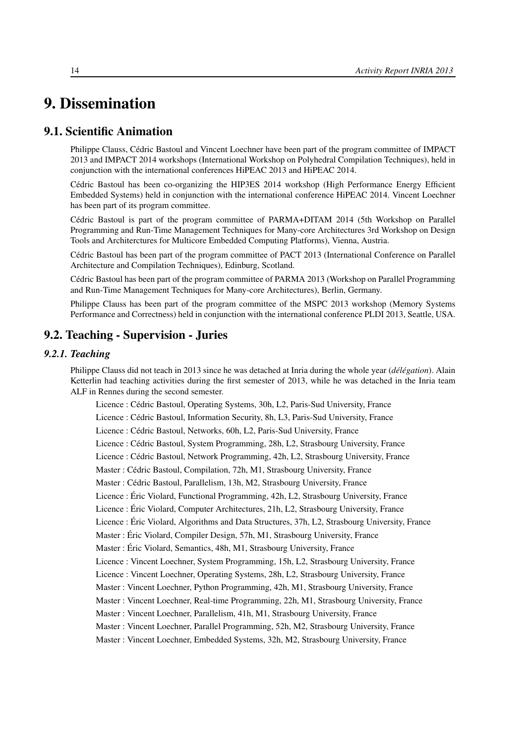# <span id="page-17-0"></span>9. Dissemination

## 9.1. Scientific Animation

<span id="page-17-1"></span>Philippe Clauss, Cédric Bastoul and Vincent Loechner have been part of the program committee of IMPACT 2013 and IMPACT 2014 workshops (International Workshop on Polyhedral Compilation Techniques), held in conjunction with the international conferences HiPEAC 2013 and HiPEAC 2014.

Cédric Bastoul has been co-organizing the HIP3ES 2014 workshop (High Performance Energy Efficient Embedded Systems) held in conjunction with the international conference HiPEAC 2014. Vincent Loechner has been part of its program committee.

Cédric Bastoul is part of the program committee of PARMA+DITAM 2014 (5th Workshop on Parallel Programming and Run-Time Management Techniques for Many-core Architectures 3rd Workshop on Design Tools and Architerctures for Multicore Embedded Computing Platforms), Vienna, Austria.

Cédric Bastoul has been part of the program committee of PACT 2013 (International Conference on Parallel Architecture and Compilation Techniques), Edinburg, Scotland.

Cédric Bastoul has been part of the program committee of PARMA 2013 (Workshop on Parallel Programming and Run-Time Management Techniques for Many-core Architectures), Berlin, Germany.

<span id="page-17-2"></span>Philippe Clauss has been part of the program committee of the MSPC 2013 workshop (Memory Systems Performance and Correctness) held in conjunction with the international conference PLDI 2013, Seattle, USA.

### 9.2. Teaching - Supervision - Juries

#### *9.2.1. Teaching*

<span id="page-17-3"></span>Philippe Clauss did not teach in 2013 since he was detached at Inria during the whole year (*délégation*). Alain Ketterlin had teaching activities during the first semester of 2013, while he was detached in the Inria team ALF in Rennes during the second semester.

Licence : Cédric Bastoul, Operating Systems, 30h, L2, Paris-Sud University, France

Licence : Cédric Bastoul, Information Security, 8h, L3, Paris-Sud University, France

Licence : Cédric Bastoul, Networks, 60h, L2, Paris-Sud University, France

Licence : Cédric Bastoul, System Programming, 28h, L2, Strasbourg University, France

Licence : Cédric Bastoul, Network Programming, 42h, L2, Strasbourg University, France

Master : Cédric Bastoul, Compilation, 72h, M1, Strasbourg University, France

Master : Cédric Bastoul, Parallelism, 13h, M2, Strasbourg University, France

Licence : Éric Violard, Functional Programming, 42h, L2, Strasbourg University, France

Licence : Éric Violard, Computer Architectures, 21h, L2, Strasbourg University, France

Licence : Éric Violard, Algorithms and Data Structures, 37h, L2, Strasbourg University, France

Master : Éric Violard, Compiler Design, 57h, M1, Strasbourg University, France

Master : Éric Violard, Semantics, 48h, M1, Strasbourg University, France

Licence : Vincent Loechner, System Programming, 15h, L2, Strasbourg University, France

Licence : Vincent Loechner, Operating Systems, 28h, L2, Strasbourg University, France

Master : Vincent Loechner, Python Programming, 42h, M1, Strasbourg University, France

Master : Vincent Loechner, Real-time Programming, 22h, M1, Strasbourg University, France

Master : Vincent Loechner, Parallelism, 41h, M1, Strasbourg University, France

Master : Vincent Loechner, Parallel Programming, 52h, M2, Strasbourg University, France

Master : Vincent Loechner, Embedded Systems, 32h, M2, Strasbourg University, France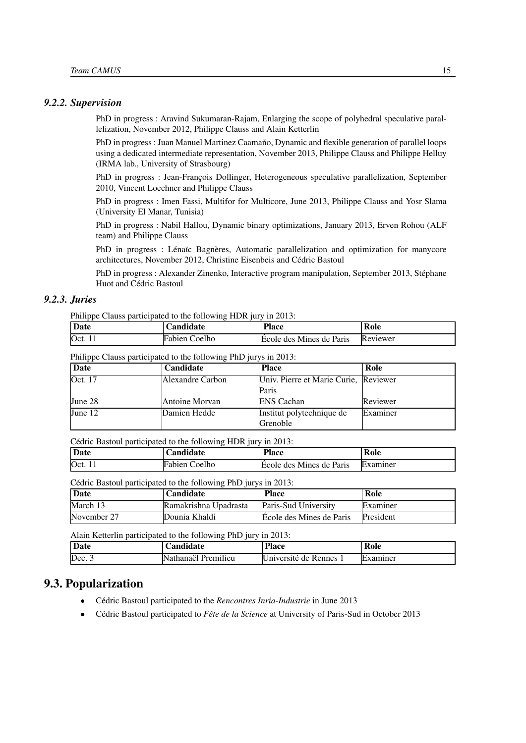#### <span id="page-18-0"></span>*9.2.2. Supervision*

PhD in progress : Aravind Sukumaran-Rajam, Enlarging the scope of polyhedral speculative parallelization, November 2012, Philippe Clauss and Alain Ketterlin

PhD in progress : Juan Manuel Martinez Caamaño, Dynamic and flexible generation of parallel loops using a dedicated intermediate representation, November 2013, Philippe Clauss and Philippe Helluy (IRMA lab., University of Strasbourg)

PhD in progress : Jean-François Dollinger, Heterogeneous speculative parallelization, September 2010, Vincent Loechner and Philippe Clauss

PhD in progress : Imen Fassi, Multifor for Multicore, June 2013, Philippe Clauss and Yosr Slama (University El Manar, Tunisia)

PhD in progress : Nabil Hallou, Dynamic binary optimizations, January 2013, Erven Rohou (ALF team) and Philippe Clauss

PhD in progress : Lénaïc Bagnères, Automatic parallelization and optimization for manycore architectures, November 2012, Christine Eisenbeis and Cédric Bastoul

PhD in progress : Alexander Zinenko, Interactive program manipulation, September 2013, Stéphane Huot and Cédric Bastoul

#### *9.2.3. Juries*

<span id="page-18-1"></span>Philippe Clauss participated to the following HDR jury in 2013:

| Date | <b>Landidate</b>     | <b>Place</b>             | Role     |
|------|----------------------|--------------------------|----------|
| Oct. | <b>Fabien Coelho</b> | Ecole des Mines de Paris | Reviewer |

#### Philippe Clauss participated to the following PhD jurys in 2013:

| Date      | Candidate        | <b>Place</b>                          | Role     |
|-----------|------------------|---------------------------------------|----------|
| Oct. 17   | Alexandre Carbon | Univ. Pierre et Marie Curie, Reviewer |          |
|           |                  | Paris                                 |          |
| June 28   | Antoine Morvan   | <b>ENS</b> Cachan                     | Reviewer |
| June $12$ | Damien Hedde     | Institut polytechnique de             | Examiner |
|           |                  | Grenoble                              |          |

Cédric Bastoul participated to the following HDR jury in 2013:

| Date | ∠andidate     | <b>Place</b>             | Role            |
|------|---------------|--------------------------|-----------------|
| Oct. | Fabien Coelho | Ecole des Mines de Paris | <b>Examiner</b> |

Cédric Bastoul participated to the following PhD jurys in 2013:

| Date        | <b>Candidate</b>      | <b>Place</b>             | Role      |
|-------------|-----------------------|--------------------------|-----------|
| March 13    | Ramakrishna Upadrasta | Paris-Sud University     | Examiner  |
| November 27 | Dounia Khaldi         | Ecole des Mines de Paris | President |

Alain Ketterlin participated to the following PhD jury in 2013:

| Date   | <b>Landidate</b>                            | <b>Place</b>             | Role     |
|--------|---------------------------------------------|--------------------------|----------|
| Dec. 3 | $\cdots$<br><br>IN<br>Premilieu<br>athanael | de Rennes.<br>Jniversité | Examiner |

#### 9.3. Popularization

- <span id="page-18-2"></span>• Cédric Bastoul participated to the *Rencontres Inria-Industrie* in June 2013
- Cédric Bastoul participated to *Fête de la Science* at University of Paris-Sud in October 2013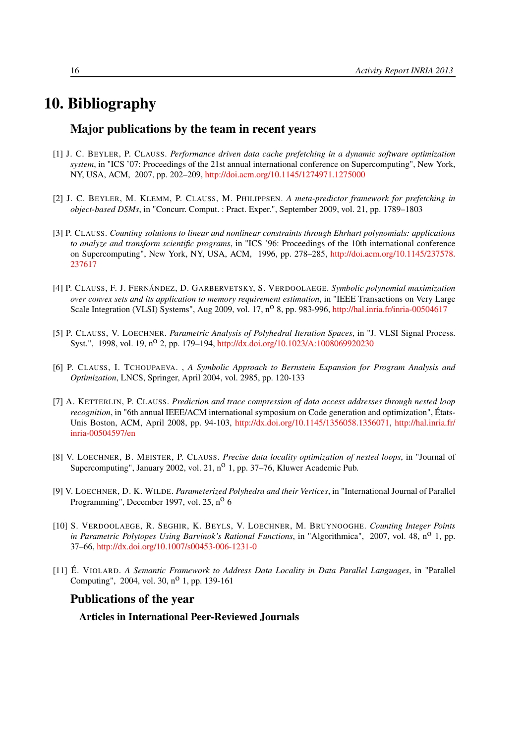# 10. Bibliography

### <span id="page-19-0"></span>Major publications by the team in recent years

- [1] J. C. BEYLER, P. CLAUSS. *Performance driven data cache prefetching in a dynamic software optimization system*, in "ICS '07: Proceedings of the 21st annual international conference on Supercomputing", New York, NY, USA, ACM, 2007, pp. 202–209, <http://doi.acm.org/10.1145/1274971.1275000>
- [2] J. C. BEYLER, M. KLEMM, P. CLAUSS, M. PHILIPPSEN. *A meta-predictor framework for prefetching in object-based DSMs*, in "Concurr. Comput. : Pract. Exper.", September 2009, vol. 21, pp. 1789–1803
- [3] P. CLAUSS. *Counting solutions to linear and nonlinear constraints through Ehrhart polynomials: applications to analyze and transform scientific programs*, in "ICS '96: Proceedings of the 10th international conference on Supercomputing", New York, NY, USA, ACM, 1996, pp. 278–285, [http://doi.acm.org/10.1145/237578.](http://doi.acm.org/10.1145/237578.237617) [237617](http://doi.acm.org/10.1145/237578.237617)
- [4] P. CLAUSS, F. J. FERNÁNDEZ, D. GARBERVETSKY, S. VERDOOLAEGE. *Symbolic polynomial maximization over convex sets and its application to memory requirement estimation*, in "IEEE Transactions on Very Large Scale Integration (VLSI) Systems", Aug 2009, vol. 17,  $n^{\circ}$  8, pp. 983-996, <http://hal.inria.fr/inria-00504617>
- [5] P. CLAUSS, V. LOECHNER. *Parametric Analysis of Polyhedral Iteration Spaces*, in "J. VLSI Signal Process. Syst.", 1998, vol. 19, n<sup>o</sup> 2, pp. 179–194, <http://dx.doi.org/10.1023/A:1008069920230>
- [6] P. CLAUSS, I. TCHOUPAEVA. , *A Symbolic Approach to Bernstein Expansion for Program Analysis and Optimization*, LNCS, Springer, April 2004, vol. 2985, pp. 120-133
- <span id="page-19-1"></span>[7] A. KETTERLIN, P. CLAUSS. *Prediction and trace compression of data access addresses through nested loop recognition*, in "6th annual IEEE/ACM international symposium on Code generation and optimization", États-Unis Boston, ACM, April 2008, pp. 94-103, [http://dx.doi.org/10.1145/1356058.1356071,](http://dx.doi.org/10.1145/1356058.1356071) [http://hal.inria.fr/](http://hal.inria.fr/inria-00504597/en) [inria-00504597/en](http://hal.inria.fr/inria-00504597/en)
- [8] V. LOECHNER, B. MEISTER, P. CLAUSS. *Precise data locality optimization of nested loops*, in "Journal of Supercomputing", January 2002, vol. 21, n<sup>o</sup> 1, pp. 37–76, Kluwer Academic Pub.
- [9] V. LOECHNER, D. K. WILDE. *Parameterized Polyhedra and their Vertices*, in "International Journal of Parallel Programming", December 1997, vol. 25, n<sup>o</sup> 6
- [10] S. VERDOOLAEGE, R. SEGHIR, K. BEYLS, V. LOECHNER, M. BRUYNOOGHE. *Counting Integer Points in Parametric Polytopes Using Barvinok's Rational Functions*, in "Algorithmica", 2007, vol. 48, n<sup>o</sup> 1, pp. 37–66, <http://dx.doi.org/10.1007/s00453-006-1231-0>
- [11] É. VIOLARD. *A Semantic Framework to Address Data Locality in Data Parallel Languages*, in "Parallel Computing", 2004, vol. 30, n<sup>o</sup> 1, pp. 139-161

## Publications of the year

Articles in International Peer-Reviewed Journals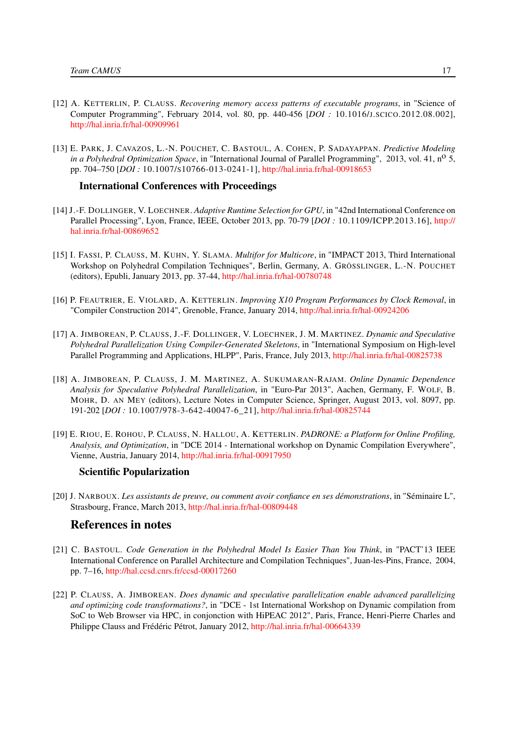- [12] A. KETTERLIN, P. CLAUSS. *Recovering memory access patterns of executable programs*, in "Science of Computer Programming", February 2014, vol. 80, pp. 440-456 [*DOI :* 10.1016/J.SCICO.2012.08.002], <http://hal.inria.fr/hal-00909961>
- [13] E. PARK, J. CAVAZOS, L.-N. POUCHET, C. BASTOUL, A. COHEN, P. SADAYAPPAN. *Predictive Modeling in a Polyhedral Optimization Space*, in "International Journal of Parallel Programming", 2013, vol. 41, n<sup>o</sup> 5, pp. 704–750 [*DOI :* 10.1007/S10766-013-0241-1], <http://hal.inria.fr/hal-00918653>

#### International Conferences with Proceedings

- <span id="page-20-5"></span>[14] J.-F. DOLLINGER, V. LOECHNER. *Adaptive Runtime Selection for GPU*, in "42nd International Conference on Parallel Processing", Lyon, France, IEEE, October 2013, pp. 70-79 [*DOI :* 10.1109/ICPP.2013.16], [http://](http://hal.inria.fr/hal-00869652) [hal.inria.fr/hal-00869652](http://hal.inria.fr/hal-00869652)
- <span id="page-20-4"></span>[15] I. FASSI, P. CLAUSS, M. KUHN, Y. SLAMA. *Multifor for Multicore*, in "IMPACT 2013, Third International Workshop on Polyhedral Compilation Techniques", Berlin, Germany, A. GRÖSSLINGER, L.-N. POUCHET (editors), Epubli, January 2013, pp. 37-44, <http://hal.inria.fr/hal-00780748>
- [16] P. FEAUTRIER, E. VIOLARD, A. KETTERLIN. *Improving X10 Program Performances by Clock Removal*, in "Compiler Construction 2014", Grenoble, France, January 2014, <http://hal.inria.fr/hal-00924206>
- <span id="page-20-1"></span>[17] A. JIMBOREAN, P. CLAUSS, J.-F. DOLLINGER, V. LOECHNER, J. M. MARTINEZ. *Dynamic and Speculative Polyhedral Parallelization Using Compiler-Generated Skeletons*, in "International Symposium on High-level Parallel Programming and Applications, HLPP", Paris, France, July 2013, <http://hal.inria.fr/hal-00825738>
- <span id="page-20-2"></span>[18] A. JIMBOREAN, P. CLAUSS, J. M. MARTINEZ, A. SUKUMARAN-RAJAM. *Online Dynamic Dependence Analysis for Speculative Polyhedral Parallelization*, in "Euro-Par 2013", Aachen, Germany, F. WOLF, B. MOHR, D. AN MEY (editors), Lecture Notes in Computer Science, Springer, August 2013, vol. 8097, pp. 191-202 [*DOI :* 10.1007/978-3-642-40047-6\_21], <http://hal.inria.fr/hal-00825744>
- [19] E. RIOU, E. ROHOU, P. CLAUSS, N. HALLOU, A. KETTERLIN. *PADRONE: a Platform for Online Profiling, Analysis, and Optimization*, in "DCE 2014 - International workshop on Dynamic Compilation Everywhere", Vienne, Austria, January 2014, <http://hal.inria.fr/hal-00917950>

#### Scientific Popularization

[20] J. NARBOUX. *Les assistants de preuve, ou comment avoir confiance en ses démonstrations*, in "Séminaire L", Strasbourg, France, March 2013, <http://hal.inria.fr/hal-00809448>

#### References in notes

- <span id="page-20-0"></span>[21] C. BASTOUL. *Code Generation in the Polyhedral Model Is Easier Than You Think*, in "PACT'13 IEEE International Conference on Parallel Architecture and Compilation Techniques", Juan-les-Pins, France, 2004, pp. 7–16, <http://hal.ccsd.cnrs.fr/ccsd-00017260>
- <span id="page-20-3"></span>[22] P. CLAUSS, A. JIMBOREAN. *Does dynamic and speculative parallelization enable advanced parallelizing and optimizing code transformations?*, in "DCE - 1st International Workshop on Dynamic compilation from SoC to Web Browser via HPC, in conjonction with HiPEAC 2012", Paris, France, Henri-Pierre Charles and Philippe Clauss and Frédéric Pétrot, January 2012, <http://hal.inria.fr/hal-00664339>